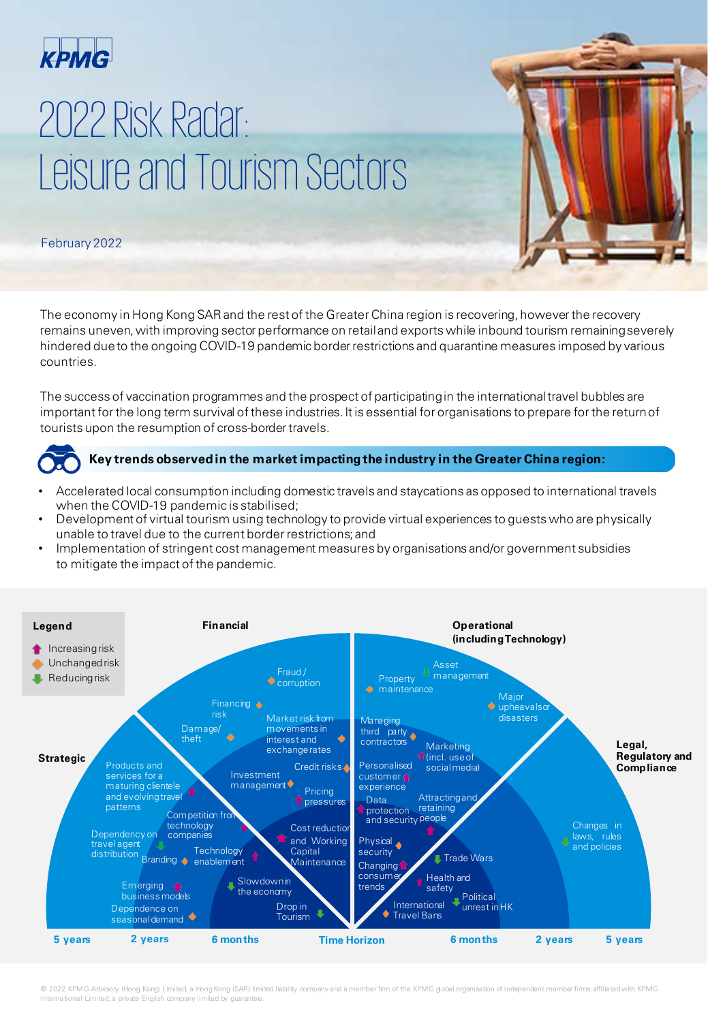

# 2022 Risk Radar: Leisure and Tourism Sectors

## February 2022

The economy in Hong Kong SAR and the rest of the Greater China region is recovering, however the recovery remains uneven, with improving sector performance on retail and exports while inbound tourism remaining severely hindered due to the ongoing COVID-19 pandemic border restrictions and quarantine measures imposed by various countries.

The success of vaccination programmes and the prospect of participating in the international travel bubbles are important for the long term survival of these industries. It is essential for organisations to prepare for the return of tourists upon the resumption of cross-border travels.



#### **Key trends observed in the market impacting the industry in the Greater China region:**

- Accelerated local consumption including domestic travels and staycations as opposed to international travels when the COVID-19 pandemic is stabilised;
- Development of virtual tourism using technology to provide virtual experiences to guests who are physically unable to travel due to the current border restrictions; and
- Implementation of stringent cost management measures by organisations and/or government subsidies to mitigate the impact of the pandemic.



© 2022 KPMG Advisory (Hong Kong) Limited, a Hong Kong (SAR) limited liability company and a member firm of the KPMG global organisation of independent member firms affiliated with KPMG International Limited, a private English company limited by guarantee.